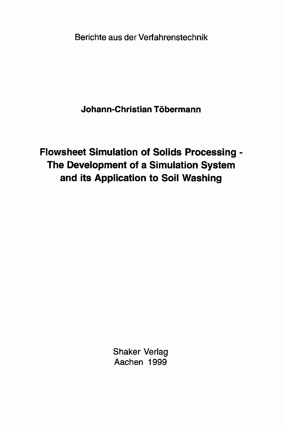Berichte aus der Verfahrenstechnik

**Johann-Christian Töbermann**

**Flowsheet Simulation of Solids Processing - The Development of a Simulation System and its Application to Soil Washing**

> Shaker Verlag Aachen 1999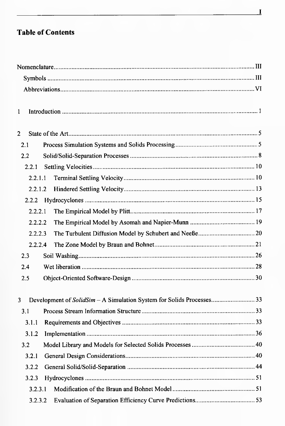## **Table of Contents**

| 1              |         |                                                                       |  |
|----------------|---------|-----------------------------------------------------------------------|--|
| $\overline{2}$ |         |                                                                       |  |
| 2.1            |         |                                                                       |  |
| 2.2            |         |                                                                       |  |
| 2.2.1          |         |                                                                       |  |
|                | 2.2.1.1 |                                                                       |  |
|                | 2.2.1.2 |                                                                       |  |
| 2.2.2          |         |                                                                       |  |
|                | 2.2.2.1 |                                                                       |  |
|                | 2.2.2.2 |                                                                       |  |
|                | 2.2.2.3 |                                                                       |  |
|                | 2.2.2.4 |                                                                       |  |
| 2.3            |         |                                                                       |  |
| 2.4            |         |                                                                       |  |
| 2.5            |         |                                                                       |  |
| 3              |         | Development of SolidSim - A Simulation System for Solids Processes 33 |  |
| 3.1            |         |                                                                       |  |
| 3.1.1          |         |                                                                       |  |
| 3.1.2          |         |                                                                       |  |
| 3.2            |         |                                                                       |  |
| 3.2.1          |         |                                                                       |  |
| 3.2.2          |         |                                                                       |  |
| 3.2.3          |         |                                                                       |  |
|                | 3.2.3.1 |                                                                       |  |
|                |         |                                                                       |  |
|                | 3.2.3.2 |                                                                       |  |